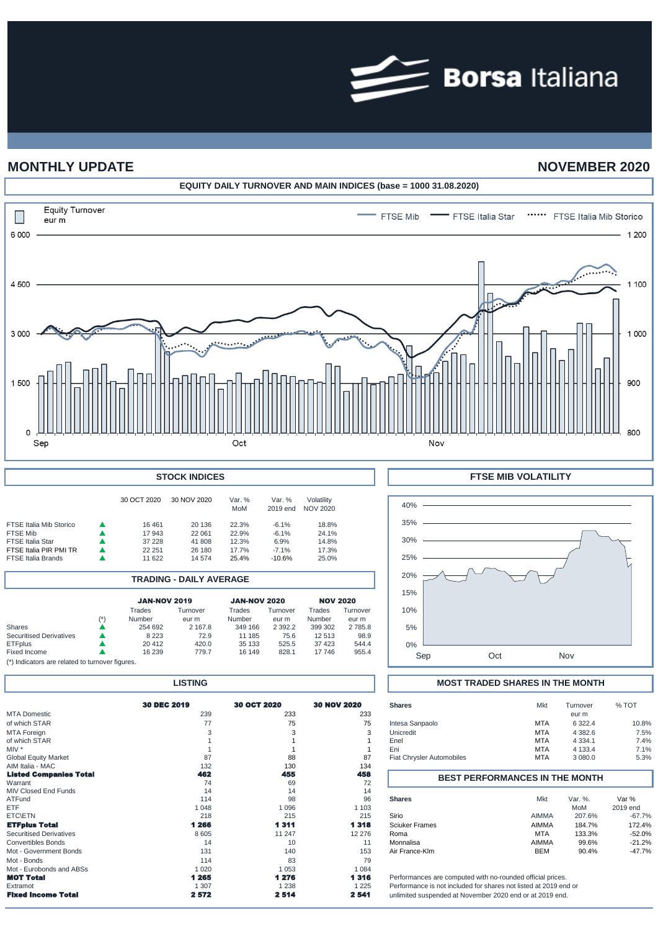

# **MONTHLY UPDATE NOVEMBER 2020**



| <b>STOCK INDICES</b>                                                                                                         |  |                                               |                                                |                                           |                                                   |                                           |  |  |
|------------------------------------------------------------------------------------------------------------------------------|--|-----------------------------------------------|------------------------------------------------|-------------------------------------------|---------------------------------------------------|-------------------------------------------|--|--|
|                                                                                                                              |  | 30 OCT 2020                                   | 30 NOV 2020                                    | Var. %<br>MoM                             | Var. %<br>2019 end                                | Volatility<br>NOV 2020                    |  |  |
| <b>FTSE Italia Mib Storico</b><br>FTSE Mib<br><b>FTSE Italia Star</b><br>FTSE Italia PIR PMI TR<br><b>FTSE Italia Brands</b> |  | 16461<br>17 943<br>37 228<br>22 251<br>11 622 | 20 136<br>22 061<br>41 808<br>26 180<br>14 574 | 22.3%<br>22.9%<br>12.3%<br>17.7%<br>25.4% | $-6.1%$<br>$-6.1%$<br>6.9%<br>$-7.1%$<br>$-10.6%$ | 18.8%<br>24.1%<br>14.8%<br>17.3%<br>25.0% |  |  |

|                                |               |                     | <b>TRADING - DAILY AVERAGE</b> |                     |                   |                  |                   |
|--------------------------------|---------------|---------------------|--------------------------------|---------------------|-------------------|------------------|-------------------|
|                                |               | <b>JAN-NOV 2019</b> |                                | <b>JAN-NOV 2020</b> |                   | <b>NOV 2020</b>  |                   |
|                                | $(\dot{ }^*)$ | Trades<br>Number    | Turnover<br>eur m              | Trades<br>Number    | Turnover<br>eur m | Trades<br>Number | Turnover<br>eur m |
| <b>Shares</b>                  |               | 254 692             | 2 167.8                        | 349 166             | 2 3 9 2.2         | 399 302          | 2785.8            |
| <b>Securitised Derivatives</b> |               | 8 2 2 3             | 72.9                           | 11 185              | 75.6              | 12 5 13          | 98.9              |
| <b>ETFplus</b><br>Fixed Income |               | 20412<br>16 239     | 420.0<br>779.7                 | 35 133<br>16 149    | 525.5<br>828.1    | 37 423<br>17746  | 544.4<br>955.4    |

(\*) Indicators are related to turnover figures.

| 30 DEC 2019 | 30 OCT 2020                                                         | <b>30 NOV 2020</b>                                     | <b>Shares</b>                                             | Mkt                                             | Turnover                                                          | % TOT                                                                                                                                                                                                                                                                                                                              |
|-------------|---------------------------------------------------------------------|--------------------------------------------------------|-----------------------------------------------------------|-------------------------------------------------|-------------------------------------------------------------------|------------------------------------------------------------------------------------------------------------------------------------------------------------------------------------------------------------------------------------------------------------------------------------------------------------------------------------|
| 239         | 233                                                                 | 233                                                    |                                                           |                                                 | eur m                                                             |                                                                                                                                                                                                                                                                                                                                    |
| 77          | 75                                                                  | 75                                                     | Intesa Sanpaolo                                           | <b>MTA</b>                                      | 6 3 2 2.4                                                         | 10.8%                                                                                                                                                                                                                                                                                                                              |
|             |                                                                     | 3                                                      | Unicredit                                                 | <b>MTA</b>                                      | 4 3 8 2.6                                                         | 7.5%                                                                                                                                                                                                                                                                                                                               |
|             |                                                                     |                                                        | Enel                                                      | <b>MTA</b>                                      | 4 3 3 4 . 1                                                       | 7.4%                                                                                                                                                                                                                                                                                                                               |
|             |                                                                     |                                                        | Eni                                                       | <b>MTA</b>                                      | 4 1 3 3.4                                                         | 7.1%                                                                                                                                                                                                                                                                                                                               |
| 87          | 88                                                                  | 87                                                     | <b>Fiat Chrysler Automobiles</b>                          | <b>MTA</b>                                      | 3 080.0                                                           | 5.3%                                                                                                                                                                                                                                                                                                                               |
| 132         | 130                                                                 | 134                                                    |                                                           |                                                 |                                                                   |                                                                                                                                                                                                                                                                                                                                    |
|             |                                                                     |                                                        |                                                           |                                                 |                                                                   |                                                                                                                                                                                                                                                                                                                                    |
|             |                                                                     |                                                        |                                                           |                                                 |                                                                   |                                                                                                                                                                                                                                                                                                                                    |
|             |                                                                     |                                                        |                                                           |                                                 |                                                                   |                                                                                                                                                                                                                                                                                                                                    |
|             |                                                                     |                                                        |                                                           |                                                 |                                                                   | Var %                                                                                                                                                                                                                                                                                                                              |
|             |                                                                     |                                                        |                                                           |                                                 |                                                                   | 2019 end                                                                                                                                                                                                                                                                                                                           |
|             |                                                                     |                                                        |                                                           |                                                 |                                                                   | $-67.7%$                                                                                                                                                                                                                                                                                                                           |
|             |                                                                     |                                                        |                                                           |                                                 |                                                                   | 172.4%                                                                                                                                                                                                                                                                                                                             |
|             |                                                                     |                                                        | Roma                                                      |                                                 |                                                                   | $-52.0%$                                                                                                                                                                                                                                                                                                                           |
| 14          | 10                                                                  | 11                                                     | Monnalisa                                                 |                                                 | 99.6%                                                             | $-21.2%$                                                                                                                                                                                                                                                                                                                           |
| 131         | 140                                                                 | 153                                                    | Air France-Klm                                            | <b>BEM</b>                                      | 90.4%                                                             | $-47.7%$                                                                                                                                                                                                                                                                                                                           |
| 114         | 83                                                                  | 79                                                     |                                                           |                                                 |                                                                   |                                                                                                                                                                                                                                                                                                                                    |
| 1 0 2 0     | 1 0 5 3                                                             | 1 0 8 4                                                |                                                           |                                                 |                                                                   |                                                                                                                                                                                                                                                                                                                                    |
| 1 265       | 1 276                                                               | 1316                                                   |                                                           |                                                 |                                                                   |                                                                                                                                                                                                                                                                                                                                    |
| 1 307       | 1 2 3 8                                                             | 1 2 2 5                                                |                                                           |                                                 |                                                                   |                                                                                                                                                                                                                                                                                                                                    |
| 2572        | 2514                                                                | 2 5 4 1                                                |                                                           |                                                 |                                                                   |                                                                                                                                                                                                                                                                                                                                    |
|             | шэннэ<br>462<br>74<br>14<br>114<br>1 048<br>218<br>1 266<br>8 6 0 5 | 455<br>69<br>14<br>98<br>1096<br>215<br>1311<br>11 247 | 458<br>72<br>14<br>96<br>1 1 0 3<br>215<br>1318<br>12 276 | <b>Shares</b><br>Sirio<br><b>Sciuker Frames</b> | Mkt<br><b>AIMMA</b><br><b>AIMMA</b><br><b>MTA</b><br><b>AIMMA</b> | <b>IVIOST TRADED SHARES IN THE IVION IT</b><br><b>BEST PERFORMANCES IN THE MONTH</b><br>Var. %.<br>MoM<br>207.6%<br>184.7%<br>133.3%<br>Performances are computed with no-rounded official prices.<br>Performance is not included for shares not listed at 2019 end or<br>unlimited suspended at November 2020 end or at 2019 end. |



## **LISTING MOST TRADED SHARES IN THE MONTH**

| <b>Shares</b>                         | <b>Mkt</b>     | Turnover         | % TOT              |  |  |  |  |
|---------------------------------------|----------------|------------------|--------------------|--|--|--|--|
|                                       |                | eur m            |                    |  |  |  |  |
| Intesa Sanpaolo                       | <b>MTA</b>     | 6 3 2 2.4        | 10.8%              |  |  |  |  |
| Unicredit                             | <b>MTA</b>     | 4 3 8 2 . 6      | 7.5%               |  |  |  |  |
| Enel                                  | <b>MTA</b>     | 4 3 3 4 . 1      | 7.4%               |  |  |  |  |
| Eni                                   | <b>MTA</b>     | 4 1 3 3.4        | 7.1%               |  |  |  |  |
| <b>Fiat Chrysler Automobiles</b>      | <b>MTA</b>     | 3 080.0          | 5.3%               |  |  |  |  |
|                                       |                |                  |                    |  |  |  |  |
| <b>BEST PERFORMANCES IN THE MONTH</b> |                |                  |                    |  |  |  |  |
|                                       |                |                  |                    |  |  |  |  |
|                                       |                |                  |                    |  |  |  |  |
| <b>Shares</b>                         | Mkt            | Var. $%$ .       | Var %              |  |  |  |  |
|                                       |                | MoM              | 2019 end           |  |  |  |  |
| Sirio<br><b>Sciuker Frames</b>        | AIMMA<br>AIMMA | 207.6%           | $-67.7%$           |  |  |  |  |
| Roma                                  | <b>MTA</b>     | 184.7%<br>133.3% | 172.4%<br>$-52.0%$ |  |  |  |  |
| Monnalisa                             | AIMMA          | 99.6%            | $-21.2%$           |  |  |  |  |
| Air France-Klm                        | <b>BEM</b>     | 90.4%            | $-47.7%$           |  |  |  |  |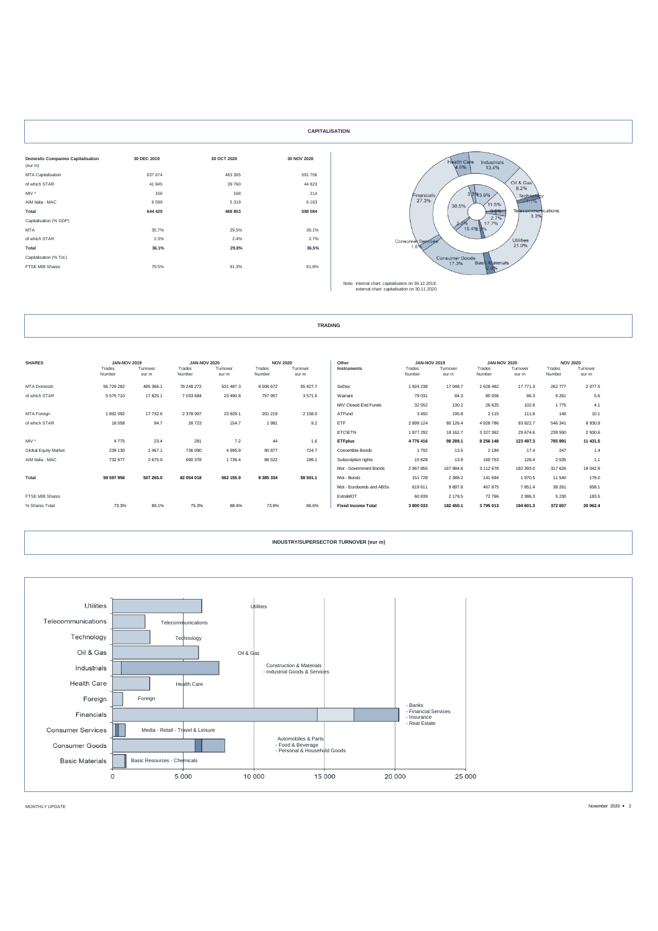|                                          |             |             | <b>CAPITALISATION</b> |
|------------------------------------------|-------------|-------------|-----------------------|
| <b>Domestic Companies Capitalisation</b> | 30 DEC 2019 | 30 OCT 2020 | 30 NOV 2020           |
| (eur m)                                  |             |             |                       |
| MTA Capitalisation                       | 637 674     | 483 365     | 591 706               |
| of which STAR                            | 41 845      | 39 760      | 44 823                |
| MIV *                                    | 156         | 168         | 214                   |
| AIM Italia - MAC                         | 6599        | 5319        | 6 1 6 3               |
| Total                                    | 644 429     | 488 853     | 598 084               |
| Capitalisation (% GDP)                   |             |             |                       |
| <b>MTA</b>                               | 35.7%       | 29.5%       | 36.1%                 |
| of which STAR                            | 2.3%        | 2.4%        | 2.7%                  |
| Total                                    | 36.1%       | 29.8%       | 36.5%                 |
| Capitalisation (% Tot.)                  |             |             |                       |
| FTSE MIB Shares                          | 79.5%       | 81.3%       | 81.8%                 |
|                                          |             |             |                       |



| <b>TRADING</b> |
|----------------|
|                |

| <b>SHARES</b>               | <b>JAN-NOV 2019</b><br>Trades<br>Number | Tumover<br>eur m | <b>JAN-NOV 2020</b><br>Trades<br>Number | Tumover<br>eur m | <b>NOV 2020</b><br>Trades<br>Number | Tumover<br>eur m | Other<br>Instruments      | <b>JAN-NOV 2019</b><br>Trades<br>Number | Turnover<br>eur m | <b>JAN-NOV 2020</b><br>Trades<br>Number | Tumover<br>eur m | <b>NOV 2020</b><br>Trades<br>Number | Turnover<br>eur m |
|-----------------------------|-----------------------------------------|------------------|-----------------------------------------|------------------|-------------------------------------|------------------|---------------------------|-----------------------------------------|-------------------|-----------------------------------------|------------------|-------------------------------------|-------------------|
| <b>MTA Domestic</b>         | 56 729 282                              | 485 366.1        | 78 248 272                              | 531 487.3        | 8 0 0 6 6 7 2                       | 55 427.7         | SeDex                     | 1924 238                                | 17 048.7          | 2 6 2 8 4 8 2                           | 17 771.3         | 262 777                             | 2 0 7 7.5         |
| of which STAR               | 5575710                                 | 17825.1          | 7 033 684                               | 23 490.8         | 757 957                             | 3571.5           | Warrant                   | 79 031                                  | 84.3              | 80 006                                  | 86.3             | 6 2 6 1                             | 5.6               |
|                             |                                         |                  |                                         |                  |                                     |                  | MIV Closed End Funds      | 32 552                                  | 130.2             | 26 6 25                                 | 102.8            | 1775                                | 4.1               |
| MTA Foreign                 | 1892092                                 | 17 732.6         | 2 378 997                               | 23 929.1         | 201 219                             | 2 158.0          | ATFund                    | 3 4 9 2                                 | 195.8             | 2 1 1 5                                 | 111.8            | 146                                 | 10.1              |
| of which STAR               | 18 058                                  | 94.7             | 28723                                   | 154.7            | 1981                                | 9.2              | ETF                       | 2 899 124                               | 80 126.4          | 4 928 786                               | 93 822.7         | 546 341                             | 8930.9            |
|                             |                                         |                  |                                         |                  |                                     |                  | <b>ETC\ETN</b>            | 1877292                                 | 18 162.7          | 3 3 2 7 3 6 2                           | 29 674.6         | 239 550                             | 2 500.6           |
| MIV <sup>*</sup>            | 4775                                    | 23.4             | 281                                     | 7.2              | 44                                  | 1.6              | <b>ETFplus</b>            | 4776416                                 | 98 289.1          | 8 256 148                               | 123 497.3        | 785 891                             | 11 431.5          |
| <b>Global Equity Market</b> | 239 130                                 | 1 467.1          | 736 090                                 | 4 9 9 5.9        | 90 877                              | 724.7            | Convertible Bonds         | 1792                                    | 13.5              | 2 1 9 4                                 | 17.4             | 247                                 | 1.4               |
| AIM Italia - MAC            | 732 677                                 | 2675.9           | 690 378                                 | 1736.4           | 86 5 22                             | 189.1            | Subscription rights       | 15 828                                  | 13.9              | 160 753                                 | 128.4            | 2 5 3 5                             | 1.1               |
|                             |                                         |                  |                                         |                  |                                     |                  | Mot - Government Bonds    | 2 967 855                               | 167 984.6         | 3 112 678                               | 182 393.0        | 317 626                             | 19 042.9          |
| Total                       | 59 597 956                              | 507 265.0        | 82 054 018                              | 562 155.9        | 8 3 8 5 3 3 4                       | 58 501.1         | Mot - Bonds               | 151 728                                 | 2 3 8 8.2         | 141 694                                 | 1970.5           | 11 540                              | 178.0             |
|                             |                                         |                  |                                         |                  |                                     |                  | Mot - Eurobonds and ABSs  | 619 611                                 | 9897.8            | 467 875                                 | 7851.4           | 38 261                              | 658.1             |
| FTSE MIB Shares             |                                         |                  |                                         |                  |                                     |                  | ExtraMOT                  | 60 839                                  | 2 179.5           | 72 766                                  | 2 3 8 6.3        | 5 2 3 0                             | 183.5             |
| % Shares Total              | 73.3%                                   | 89.1%            | 75.3%                                   | 88.4%            | 73.8%                               | 86.6%            | <b>Fixed Income Total</b> | 3 800 033                               | 182 450.1         | 3795013                                 | 194 601.3        | 372 657                             | 20 062.4          |

### **INDUSTRY/SUPERSECTOR TURNOVER (eur m)**



MONTHLY UPDATE November 2020  $\bullet$  2020  $\bullet$  2020  $\bullet$  2020  $\bullet$  2020  $\bullet$  2020  $\bullet$  2020  $\bullet$  2020  $\bullet$  2020  $\bullet$  2020  $\bullet$  2020  $\bullet$  2020  $\bullet$  2020  $\bullet$  2020  $\bullet$  2020  $\bullet$  2020  $\bullet$  2020  $\bullet$  2020  $\bullet$  2020  $\bullet$  2020  $\bullet$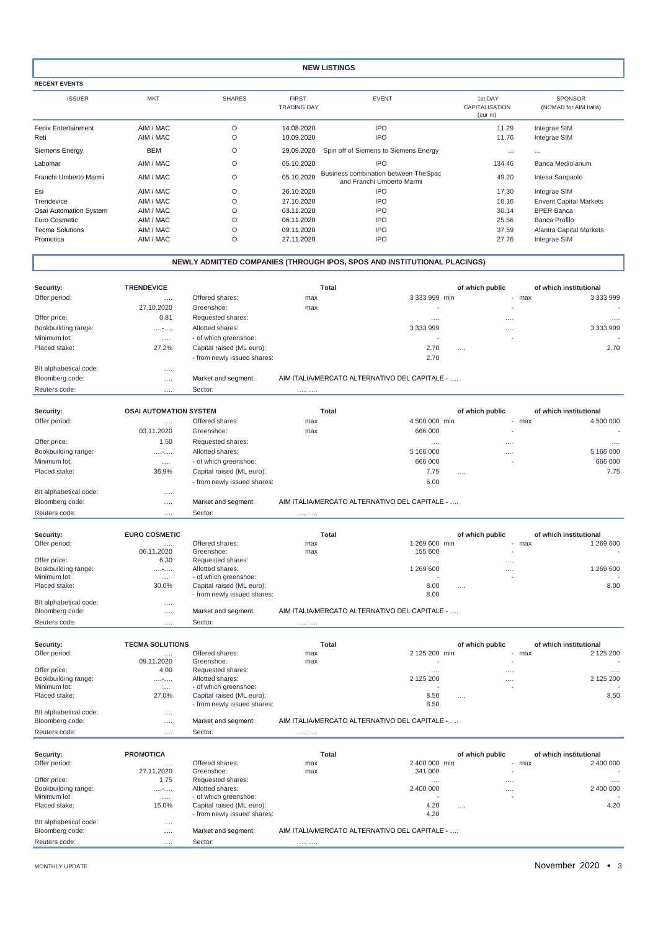### **NEW LISTINGS**

**RECENT EVENTS**

ISSUER MKT SHARES FIRST EVENT 1st DAY  $\begin{tabular}{lllllllllll} \multicolumn{2}{c}{\textbf{FIRST}} & \multicolumn{2}{c}{\textbf{71} } \multicolumn{2}{c}{\textbf{51} } \multicolumn{2}{c}{\textbf{52} } \multicolumn{2}{c}{\textbf{53} } \multicolumn{2}{c}{\textbf{54} } \multicolumn{2}{c}{\textbf{65} } \multicolumn{2}{c}{\textbf{66} } \multicolumn{2}{c}{\textbf{67} } \multicolumn{2}{c}{\textbf{68} } \multicolumn{2}{c}{\textbf{69} } \multicolumn{2}{c}{\textbf{69} } \multicolumn$ (eur m) Fenix Entertainment AIM / MAC O 14.08.2020 IPO 11.29 Integrae SIM Reti AIM / MAC O 10.09.2020 IPO 11.76 Integrae SIM Siemens Energy **BEM** BEM O 29.09.2020 Spin off of Siemens to Siemens Energy Labomar AIM / MAC O 05.10.2020 IPO 134.46 Banca Mediolanum Franchi Umberto Marmi AIM / MAC <sup>O</sup> 05.10.2020 Business combination between TheSpac and Franchi Umberto Marmi 49.20 Intesa Sanpaolo Esi AIM / MAC O 26.10.2020 IPO 17.30 Integrae SIM Trendevice AIM / MAC O 27.10.2020 IPO 10.16 Envent Capital Markets Osai Automation System Euro Cosmetic AIM / MAC O 06.11.2020 IPO 25.56 Banca Profilo Tecma Solutions AIM / MAC O 09.11.2020 IPO 37.59 Alantra Capital Markets Promotica AIM / MAC O 27.11.2020 IPO 27.76 Integrae SIM SPONSOR (NOMAD for AIM Italia)

| <b>TRENDEVICE</b><br>Security:<br>Total<br>of which public<br>of which institutional<br>Offer period:<br>3 333 999<br>Offered shares:<br>3 333 999 min<br>max<br>- max<br>.<br>27.10.2020<br>Greenshoe:<br>max<br>Requested shares:<br>Offer price:<br>0.81<br>$\cdots$<br>$\cdots$<br>$\cdots$<br>3 333 999<br>Bookbuilding range:<br>Allotted shares:<br>3 3 3 9 9 9 9<br>.<br><br>Minimum lot:<br>- of which greenshoe:<br>$\sim$<br>$\cdots$<br>27.2%<br>Capital raised (ML euro):<br>2.70<br>2.70<br>Placed stake:<br>$\cdots$<br>2.70<br>- from newly issued shares:<br>Blt alphabetical code:<br>$\cdots$<br>AIM ITALIA/MERCATO ALTERNATIVO DEL CAPITALE -<br>Bloomberg code:<br>Market and segment:<br>.<br>Reuters code:<br>Sector:<br>.<br>. ,<br>Security:<br><b>OSAI AUTOMATION SYSTEM</b><br>Total<br>of which public<br>of which institutional<br>Offered shares:<br>4 500 000 min<br>4 500 000<br>Offer period:<br>max<br>max<br>$\cdots$<br>03.11.2020<br>666 000<br>Greenshoe:<br>max<br>Offer price:<br>1.50<br>Requested shares:<br>$\cdots$<br>$\cdots$<br>$\cdots$<br>Bookbuilding range:<br>Allotted shares:<br>5 166 000<br>5 166 000<br>.<br><br>666 000<br>666 000<br>Minimum lot:<br>- of which greenshoe:<br>$\cdots$<br>Placed stake:<br>36.9%<br>Capital raised (ML euro):<br>7.75<br>7.75<br>$\cdots$<br>6.00<br>- from newly issued shares:<br>Blt alphabetical code:<br>$\cdots$<br>Bloomberg code:<br>Market and segment:<br>AIM ITALIA/MERCATO ALTERNATIVO DEL CAPITALE -<br>.<br>Sector:<br>Reuters code:<br>.<br>.,<br>Security:<br><b>EURO COSMETIC</b><br><b>Total</b><br>of which public<br>of which institutional<br>Offer period:<br>Offered shares:<br>1 269 600 min<br>1 269 600<br>max<br>- max<br>.<br>06.11.2020<br>Greenshoe:<br>155 600<br>max<br>Offer price:<br>6.30<br>Requested shares:<br>.<br>$\cdots$<br>$\cdots$<br>1 269 600<br>1 269 600<br>Bookbuilding range:<br>Allotted shares:<br>1.11711111<br>$\cdots$<br>Minimum lot:<br>- of which greenshoe:<br>$\cdots$<br>8.00<br>8.00<br>Placed stake:<br>30.0%<br>Capital raised (ML euro):<br>$\cdots$<br>- from newly issued shares:<br>8.00<br>Blt alphabetical code:<br>$\cdots$<br>Bloomberg code:<br>AIM ITALIA/MERCATO ALTERNATIVO DEL CAPITALE -<br>Market and segment:<br>.<br>Reuters code:<br>Sector:<br>.<br>. ,<br><b>TECMA SOLUTIONS</b><br>Security:<br>Total<br>of which public<br>of which institutional<br>Offered shares:<br>Offer period:<br>2 125 200 min<br>2 125 200<br>max<br>max<br>$\overline{\phantom{a}}$<br>$\cdots$<br>09.11.2020<br>Greenshoe:<br>max<br>Offer price:<br>4.00<br>Requested shares:<br>$\cdots$<br>$\cdots$<br>$\cdots$<br>2 125 200<br>Bookbuilding range:<br>Allotted shares:<br>2 125 200<br>.<br>$\cdots$<br>Minimum lot:<br>- of which greenshoe:<br>$\cdots$<br>8.50<br>Placed stake:<br>27.0%<br>Capital raised (ML euro):<br>8.50<br>$\cdots$<br>- from newly issued shares:<br>8.50<br>Blt alphabetical code:<br>$\cdots$<br>AIM ITALIA/MERCATO ALTERNATIVO DEL CAPITALE -<br>Bloomberg code:<br>Market and segment:<br>.<br>Reuters code:<br>Sector:<br>$\cdots$<br>. ,<br>Security:<br><b>PROMOTICA</b><br><b>Total</b><br>of which public<br>of which institutional<br>Offer period:<br>2 400 000 min<br>2 400 000<br>Offered shares:<br>max<br>- max<br>.<br>Greenshoe:<br>341 000<br>27.11.2020<br>max<br>Requested shares:<br>Offer price:<br>1.75<br>.<br>.<br>$\cdots$<br>Bookbuilding range:<br>Allotted shares:<br>2 400 000<br>2 400 000<br>1.1171111<br><br>Minimum lot:<br>- of which greenshoe:<br>$\cdots$<br>Placed stake:<br>Capital raised (ML euro):<br>4.20<br>15.0%<br>4.20<br>.<br>- from newly issued shares:<br>4.20<br>Blt alphabetical code:<br>$\cdots$<br>AIM ITALIA/MERCATO ALTERNATIVO DEL CAPITALE -<br>Bloomberg code:<br>Market and segment:<br>$\cdots$<br>Reuters code:<br>Sector:<br>.<br>. , |  | NEWLY ADMITTED COMPANIES (THROUGH IPOS, SPOS AND INSTITUTIONAL PLACINGS) |  |  |
|--------------------------------------------------------------------------------------------------------------------------------------------------------------------------------------------------------------------------------------------------------------------------------------------------------------------------------------------------------------------------------------------------------------------------------------------------------------------------------------------------------------------------------------------------------------------------------------------------------------------------------------------------------------------------------------------------------------------------------------------------------------------------------------------------------------------------------------------------------------------------------------------------------------------------------------------------------------------------------------------------------------------------------------------------------------------------------------------------------------------------------------------------------------------------------------------------------------------------------------------------------------------------------------------------------------------------------------------------------------------------------------------------------------------------------------------------------------------------------------------------------------------------------------------------------------------------------------------------------------------------------------------------------------------------------------------------------------------------------------------------------------------------------------------------------------------------------------------------------------------------------------------------------------------------------------------------------------------------------------------------------------------------------------------------------------------------------------------------------------------------------------------------------------------------------------------------------------------------------------------------------------------------------------------------------------------------------------------------------------------------------------------------------------------------------------------------------------------------------------------------------------------------------------------------------------------------------------------------------------------------------------------------------------------------------------------------------------------------------------------------------------------------------------------------------------------------------------------------------------------------------------------------------------------------------------------------------------------------------------------------------------------------------------------------------------------------------------------------------------------------------------------------------------------------------------------------------------------------------------------------------------------------------------------------------------------------------------------------------------------------------------------------------------------------------------------------------------------------------------------------------------------------------------------------------------------------------------------------------------------------------------------------------------------------------------------------------------------------------------------------------------------------------------------------------------------------------------------------------------------------------------------------|--|--------------------------------------------------------------------------|--|--|
|                                                                                                                                                                                                                                                                                                                                                                                                                                                                                                                                                                                                                                                                                                                                                                                                                                                                                                                                                                                                                                                                                                                                                                                                                                                                                                                                                                                                                                                                                                                                                                                                                                                                                                                                                                                                                                                                                                                                                                                                                                                                                                                                                                                                                                                                                                                                                                                                                                                                                                                                                                                                                                                                                                                                                                                                                                                                                                                                                                                                                                                                                                                                                                                                                                                                                                                                                                                                                                                                                                                                                                                                                                                                                                                                                                                                                                                                                                  |  |                                                                          |  |  |
|                                                                                                                                                                                                                                                                                                                                                                                                                                                                                                                                                                                                                                                                                                                                                                                                                                                                                                                                                                                                                                                                                                                                                                                                                                                                                                                                                                                                                                                                                                                                                                                                                                                                                                                                                                                                                                                                                                                                                                                                                                                                                                                                                                                                                                                                                                                                                                                                                                                                                                                                                                                                                                                                                                                                                                                                                                                                                                                                                                                                                                                                                                                                                                                                                                                                                                                                                                                                                                                                                                                                                                                                                                                                                                                                                                                                                                                                                                  |  |                                                                          |  |  |
|                                                                                                                                                                                                                                                                                                                                                                                                                                                                                                                                                                                                                                                                                                                                                                                                                                                                                                                                                                                                                                                                                                                                                                                                                                                                                                                                                                                                                                                                                                                                                                                                                                                                                                                                                                                                                                                                                                                                                                                                                                                                                                                                                                                                                                                                                                                                                                                                                                                                                                                                                                                                                                                                                                                                                                                                                                                                                                                                                                                                                                                                                                                                                                                                                                                                                                                                                                                                                                                                                                                                                                                                                                                                                                                                                                                                                                                                                                  |  |                                                                          |  |  |
|                                                                                                                                                                                                                                                                                                                                                                                                                                                                                                                                                                                                                                                                                                                                                                                                                                                                                                                                                                                                                                                                                                                                                                                                                                                                                                                                                                                                                                                                                                                                                                                                                                                                                                                                                                                                                                                                                                                                                                                                                                                                                                                                                                                                                                                                                                                                                                                                                                                                                                                                                                                                                                                                                                                                                                                                                                                                                                                                                                                                                                                                                                                                                                                                                                                                                                                                                                                                                                                                                                                                                                                                                                                                                                                                                                                                                                                                                                  |  |                                                                          |  |  |
|                                                                                                                                                                                                                                                                                                                                                                                                                                                                                                                                                                                                                                                                                                                                                                                                                                                                                                                                                                                                                                                                                                                                                                                                                                                                                                                                                                                                                                                                                                                                                                                                                                                                                                                                                                                                                                                                                                                                                                                                                                                                                                                                                                                                                                                                                                                                                                                                                                                                                                                                                                                                                                                                                                                                                                                                                                                                                                                                                                                                                                                                                                                                                                                                                                                                                                                                                                                                                                                                                                                                                                                                                                                                                                                                                                                                                                                                                                  |  |                                                                          |  |  |
|                                                                                                                                                                                                                                                                                                                                                                                                                                                                                                                                                                                                                                                                                                                                                                                                                                                                                                                                                                                                                                                                                                                                                                                                                                                                                                                                                                                                                                                                                                                                                                                                                                                                                                                                                                                                                                                                                                                                                                                                                                                                                                                                                                                                                                                                                                                                                                                                                                                                                                                                                                                                                                                                                                                                                                                                                                                                                                                                                                                                                                                                                                                                                                                                                                                                                                                                                                                                                                                                                                                                                                                                                                                                                                                                                                                                                                                                                                  |  |                                                                          |  |  |
|                                                                                                                                                                                                                                                                                                                                                                                                                                                                                                                                                                                                                                                                                                                                                                                                                                                                                                                                                                                                                                                                                                                                                                                                                                                                                                                                                                                                                                                                                                                                                                                                                                                                                                                                                                                                                                                                                                                                                                                                                                                                                                                                                                                                                                                                                                                                                                                                                                                                                                                                                                                                                                                                                                                                                                                                                                                                                                                                                                                                                                                                                                                                                                                                                                                                                                                                                                                                                                                                                                                                                                                                                                                                                                                                                                                                                                                                                                  |  |                                                                          |  |  |
|                                                                                                                                                                                                                                                                                                                                                                                                                                                                                                                                                                                                                                                                                                                                                                                                                                                                                                                                                                                                                                                                                                                                                                                                                                                                                                                                                                                                                                                                                                                                                                                                                                                                                                                                                                                                                                                                                                                                                                                                                                                                                                                                                                                                                                                                                                                                                                                                                                                                                                                                                                                                                                                                                                                                                                                                                                                                                                                                                                                                                                                                                                                                                                                                                                                                                                                                                                                                                                                                                                                                                                                                                                                                                                                                                                                                                                                                                                  |  |                                                                          |  |  |
|                                                                                                                                                                                                                                                                                                                                                                                                                                                                                                                                                                                                                                                                                                                                                                                                                                                                                                                                                                                                                                                                                                                                                                                                                                                                                                                                                                                                                                                                                                                                                                                                                                                                                                                                                                                                                                                                                                                                                                                                                                                                                                                                                                                                                                                                                                                                                                                                                                                                                                                                                                                                                                                                                                                                                                                                                                                                                                                                                                                                                                                                                                                                                                                                                                                                                                                                                                                                                                                                                                                                                                                                                                                                                                                                                                                                                                                                                                  |  |                                                                          |  |  |
|                                                                                                                                                                                                                                                                                                                                                                                                                                                                                                                                                                                                                                                                                                                                                                                                                                                                                                                                                                                                                                                                                                                                                                                                                                                                                                                                                                                                                                                                                                                                                                                                                                                                                                                                                                                                                                                                                                                                                                                                                                                                                                                                                                                                                                                                                                                                                                                                                                                                                                                                                                                                                                                                                                                                                                                                                                                                                                                                                                                                                                                                                                                                                                                                                                                                                                                                                                                                                                                                                                                                                                                                                                                                                                                                                                                                                                                                                                  |  |                                                                          |  |  |
|                                                                                                                                                                                                                                                                                                                                                                                                                                                                                                                                                                                                                                                                                                                                                                                                                                                                                                                                                                                                                                                                                                                                                                                                                                                                                                                                                                                                                                                                                                                                                                                                                                                                                                                                                                                                                                                                                                                                                                                                                                                                                                                                                                                                                                                                                                                                                                                                                                                                                                                                                                                                                                                                                                                                                                                                                                                                                                                                                                                                                                                                                                                                                                                                                                                                                                                                                                                                                                                                                                                                                                                                                                                                                                                                                                                                                                                                                                  |  |                                                                          |  |  |
|                                                                                                                                                                                                                                                                                                                                                                                                                                                                                                                                                                                                                                                                                                                                                                                                                                                                                                                                                                                                                                                                                                                                                                                                                                                                                                                                                                                                                                                                                                                                                                                                                                                                                                                                                                                                                                                                                                                                                                                                                                                                                                                                                                                                                                                                                                                                                                                                                                                                                                                                                                                                                                                                                                                                                                                                                                                                                                                                                                                                                                                                                                                                                                                                                                                                                                                                                                                                                                                                                                                                                                                                                                                                                                                                                                                                                                                                                                  |  |                                                                          |  |  |
|                                                                                                                                                                                                                                                                                                                                                                                                                                                                                                                                                                                                                                                                                                                                                                                                                                                                                                                                                                                                                                                                                                                                                                                                                                                                                                                                                                                                                                                                                                                                                                                                                                                                                                                                                                                                                                                                                                                                                                                                                                                                                                                                                                                                                                                                                                                                                                                                                                                                                                                                                                                                                                                                                                                                                                                                                                                                                                                                                                                                                                                                                                                                                                                                                                                                                                                                                                                                                                                                                                                                                                                                                                                                                                                                                                                                                                                                                                  |  |                                                                          |  |  |
|                                                                                                                                                                                                                                                                                                                                                                                                                                                                                                                                                                                                                                                                                                                                                                                                                                                                                                                                                                                                                                                                                                                                                                                                                                                                                                                                                                                                                                                                                                                                                                                                                                                                                                                                                                                                                                                                                                                                                                                                                                                                                                                                                                                                                                                                                                                                                                                                                                                                                                                                                                                                                                                                                                                                                                                                                                                                                                                                                                                                                                                                                                                                                                                                                                                                                                                                                                                                                                                                                                                                                                                                                                                                                                                                                                                                                                                                                                  |  |                                                                          |  |  |
|                                                                                                                                                                                                                                                                                                                                                                                                                                                                                                                                                                                                                                                                                                                                                                                                                                                                                                                                                                                                                                                                                                                                                                                                                                                                                                                                                                                                                                                                                                                                                                                                                                                                                                                                                                                                                                                                                                                                                                                                                                                                                                                                                                                                                                                                                                                                                                                                                                                                                                                                                                                                                                                                                                                                                                                                                                                                                                                                                                                                                                                                                                                                                                                                                                                                                                                                                                                                                                                                                                                                                                                                                                                                                                                                                                                                                                                                                                  |  |                                                                          |  |  |
|                                                                                                                                                                                                                                                                                                                                                                                                                                                                                                                                                                                                                                                                                                                                                                                                                                                                                                                                                                                                                                                                                                                                                                                                                                                                                                                                                                                                                                                                                                                                                                                                                                                                                                                                                                                                                                                                                                                                                                                                                                                                                                                                                                                                                                                                                                                                                                                                                                                                                                                                                                                                                                                                                                                                                                                                                                                                                                                                                                                                                                                                                                                                                                                                                                                                                                                                                                                                                                                                                                                                                                                                                                                                                                                                                                                                                                                                                                  |  |                                                                          |  |  |
|                                                                                                                                                                                                                                                                                                                                                                                                                                                                                                                                                                                                                                                                                                                                                                                                                                                                                                                                                                                                                                                                                                                                                                                                                                                                                                                                                                                                                                                                                                                                                                                                                                                                                                                                                                                                                                                                                                                                                                                                                                                                                                                                                                                                                                                                                                                                                                                                                                                                                                                                                                                                                                                                                                                                                                                                                                                                                                                                                                                                                                                                                                                                                                                                                                                                                                                                                                                                                                                                                                                                                                                                                                                                                                                                                                                                                                                                                                  |  |                                                                          |  |  |
|                                                                                                                                                                                                                                                                                                                                                                                                                                                                                                                                                                                                                                                                                                                                                                                                                                                                                                                                                                                                                                                                                                                                                                                                                                                                                                                                                                                                                                                                                                                                                                                                                                                                                                                                                                                                                                                                                                                                                                                                                                                                                                                                                                                                                                                                                                                                                                                                                                                                                                                                                                                                                                                                                                                                                                                                                                                                                                                                                                                                                                                                                                                                                                                                                                                                                                                                                                                                                                                                                                                                                                                                                                                                                                                                                                                                                                                                                                  |  |                                                                          |  |  |
|                                                                                                                                                                                                                                                                                                                                                                                                                                                                                                                                                                                                                                                                                                                                                                                                                                                                                                                                                                                                                                                                                                                                                                                                                                                                                                                                                                                                                                                                                                                                                                                                                                                                                                                                                                                                                                                                                                                                                                                                                                                                                                                                                                                                                                                                                                                                                                                                                                                                                                                                                                                                                                                                                                                                                                                                                                                                                                                                                                                                                                                                                                                                                                                                                                                                                                                                                                                                                                                                                                                                                                                                                                                                                                                                                                                                                                                                                                  |  |                                                                          |  |  |
|                                                                                                                                                                                                                                                                                                                                                                                                                                                                                                                                                                                                                                                                                                                                                                                                                                                                                                                                                                                                                                                                                                                                                                                                                                                                                                                                                                                                                                                                                                                                                                                                                                                                                                                                                                                                                                                                                                                                                                                                                                                                                                                                                                                                                                                                                                                                                                                                                                                                                                                                                                                                                                                                                                                                                                                                                                                                                                                                                                                                                                                                                                                                                                                                                                                                                                                                                                                                                                                                                                                                                                                                                                                                                                                                                                                                                                                                                                  |  |                                                                          |  |  |
|                                                                                                                                                                                                                                                                                                                                                                                                                                                                                                                                                                                                                                                                                                                                                                                                                                                                                                                                                                                                                                                                                                                                                                                                                                                                                                                                                                                                                                                                                                                                                                                                                                                                                                                                                                                                                                                                                                                                                                                                                                                                                                                                                                                                                                                                                                                                                                                                                                                                                                                                                                                                                                                                                                                                                                                                                                                                                                                                                                                                                                                                                                                                                                                                                                                                                                                                                                                                                                                                                                                                                                                                                                                                                                                                                                                                                                                                                                  |  |                                                                          |  |  |
|                                                                                                                                                                                                                                                                                                                                                                                                                                                                                                                                                                                                                                                                                                                                                                                                                                                                                                                                                                                                                                                                                                                                                                                                                                                                                                                                                                                                                                                                                                                                                                                                                                                                                                                                                                                                                                                                                                                                                                                                                                                                                                                                                                                                                                                                                                                                                                                                                                                                                                                                                                                                                                                                                                                                                                                                                                                                                                                                                                                                                                                                                                                                                                                                                                                                                                                                                                                                                                                                                                                                                                                                                                                                                                                                                                                                                                                                                                  |  |                                                                          |  |  |
|                                                                                                                                                                                                                                                                                                                                                                                                                                                                                                                                                                                                                                                                                                                                                                                                                                                                                                                                                                                                                                                                                                                                                                                                                                                                                                                                                                                                                                                                                                                                                                                                                                                                                                                                                                                                                                                                                                                                                                                                                                                                                                                                                                                                                                                                                                                                                                                                                                                                                                                                                                                                                                                                                                                                                                                                                                                                                                                                                                                                                                                                                                                                                                                                                                                                                                                                                                                                                                                                                                                                                                                                                                                                                                                                                                                                                                                                                                  |  |                                                                          |  |  |
|                                                                                                                                                                                                                                                                                                                                                                                                                                                                                                                                                                                                                                                                                                                                                                                                                                                                                                                                                                                                                                                                                                                                                                                                                                                                                                                                                                                                                                                                                                                                                                                                                                                                                                                                                                                                                                                                                                                                                                                                                                                                                                                                                                                                                                                                                                                                                                                                                                                                                                                                                                                                                                                                                                                                                                                                                                                                                                                                                                                                                                                                                                                                                                                                                                                                                                                                                                                                                                                                                                                                                                                                                                                                                                                                                                                                                                                                                                  |  |                                                                          |  |  |
|                                                                                                                                                                                                                                                                                                                                                                                                                                                                                                                                                                                                                                                                                                                                                                                                                                                                                                                                                                                                                                                                                                                                                                                                                                                                                                                                                                                                                                                                                                                                                                                                                                                                                                                                                                                                                                                                                                                                                                                                                                                                                                                                                                                                                                                                                                                                                                                                                                                                                                                                                                                                                                                                                                                                                                                                                                                                                                                                                                                                                                                                                                                                                                                                                                                                                                                                                                                                                                                                                                                                                                                                                                                                                                                                                                                                                                                                                                  |  |                                                                          |  |  |
|                                                                                                                                                                                                                                                                                                                                                                                                                                                                                                                                                                                                                                                                                                                                                                                                                                                                                                                                                                                                                                                                                                                                                                                                                                                                                                                                                                                                                                                                                                                                                                                                                                                                                                                                                                                                                                                                                                                                                                                                                                                                                                                                                                                                                                                                                                                                                                                                                                                                                                                                                                                                                                                                                                                                                                                                                                                                                                                                                                                                                                                                                                                                                                                                                                                                                                                                                                                                                                                                                                                                                                                                                                                                                                                                                                                                                                                                                                  |  |                                                                          |  |  |
|                                                                                                                                                                                                                                                                                                                                                                                                                                                                                                                                                                                                                                                                                                                                                                                                                                                                                                                                                                                                                                                                                                                                                                                                                                                                                                                                                                                                                                                                                                                                                                                                                                                                                                                                                                                                                                                                                                                                                                                                                                                                                                                                                                                                                                                                                                                                                                                                                                                                                                                                                                                                                                                                                                                                                                                                                                                                                                                                                                                                                                                                                                                                                                                                                                                                                                                                                                                                                                                                                                                                                                                                                                                                                                                                                                                                                                                                                                  |  |                                                                          |  |  |
|                                                                                                                                                                                                                                                                                                                                                                                                                                                                                                                                                                                                                                                                                                                                                                                                                                                                                                                                                                                                                                                                                                                                                                                                                                                                                                                                                                                                                                                                                                                                                                                                                                                                                                                                                                                                                                                                                                                                                                                                                                                                                                                                                                                                                                                                                                                                                                                                                                                                                                                                                                                                                                                                                                                                                                                                                                                                                                                                                                                                                                                                                                                                                                                                                                                                                                                                                                                                                                                                                                                                                                                                                                                                                                                                                                                                                                                                                                  |  |                                                                          |  |  |
|                                                                                                                                                                                                                                                                                                                                                                                                                                                                                                                                                                                                                                                                                                                                                                                                                                                                                                                                                                                                                                                                                                                                                                                                                                                                                                                                                                                                                                                                                                                                                                                                                                                                                                                                                                                                                                                                                                                                                                                                                                                                                                                                                                                                                                                                                                                                                                                                                                                                                                                                                                                                                                                                                                                                                                                                                                                                                                                                                                                                                                                                                                                                                                                                                                                                                                                                                                                                                                                                                                                                                                                                                                                                                                                                                                                                                                                                                                  |  |                                                                          |  |  |
|                                                                                                                                                                                                                                                                                                                                                                                                                                                                                                                                                                                                                                                                                                                                                                                                                                                                                                                                                                                                                                                                                                                                                                                                                                                                                                                                                                                                                                                                                                                                                                                                                                                                                                                                                                                                                                                                                                                                                                                                                                                                                                                                                                                                                                                                                                                                                                                                                                                                                                                                                                                                                                                                                                                                                                                                                                                                                                                                                                                                                                                                                                                                                                                                                                                                                                                                                                                                                                                                                                                                                                                                                                                                                                                                                                                                                                                                                                  |  |                                                                          |  |  |
|                                                                                                                                                                                                                                                                                                                                                                                                                                                                                                                                                                                                                                                                                                                                                                                                                                                                                                                                                                                                                                                                                                                                                                                                                                                                                                                                                                                                                                                                                                                                                                                                                                                                                                                                                                                                                                                                                                                                                                                                                                                                                                                                                                                                                                                                                                                                                                                                                                                                                                                                                                                                                                                                                                                                                                                                                                                                                                                                                                                                                                                                                                                                                                                                                                                                                                                                                                                                                                                                                                                                                                                                                                                                                                                                                                                                                                                                                                  |  |                                                                          |  |  |
|                                                                                                                                                                                                                                                                                                                                                                                                                                                                                                                                                                                                                                                                                                                                                                                                                                                                                                                                                                                                                                                                                                                                                                                                                                                                                                                                                                                                                                                                                                                                                                                                                                                                                                                                                                                                                                                                                                                                                                                                                                                                                                                                                                                                                                                                                                                                                                                                                                                                                                                                                                                                                                                                                                                                                                                                                                                                                                                                                                                                                                                                                                                                                                                                                                                                                                                                                                                                                                                                                                                                                                                                                                                                                                                                                                                                                                                                                                  |  |                                                                          |  |  |
|                                                                                                                                                                                                                                                                                                                                                                                                                                                                                                                                                                                                                                                                                                                                                                                                                                                                                                                                                                                                                                                                                                                                                                                                                                                                                                                                                                                                                                                                                                                                                                                                                                                                                                                                                                                                                                                                                                                                                                                                                                                                                                                                                                                                                                                                                                                                                                                                                                                                                                                                                                                                                                                                                                                                                                                                                                                                                                                                                                                                                                                                                                                                                                                                                                                                                                                                                                                                                                                                                                                                                                                                                                                                                                                                                                                                                                                                                                  |  |                                                                          |  |  |
|                                                                                                                                                                                                                                                                                                                                                                                                                                                                                                                                                                                                                                                                                                                                                                                                                                                                                                                                                                                                                                                                                                                                                                                                                                                                                                                                                                                                                                                                                                                                                                                                                                                                                                                                                                                                                                                                                                                                                                                                                                                                                                                                                                                                                                                                                                                                                                                                                                                                                                                                                                                                                                                                                                                                                                                                                                                                                                                                                                                                                                                                                                                                                                                                                                                                                                                                                                                                                                                                                                                                                                                                                                                                                                                                                                                                                                                                                                  |  |                                                                          |  |  |
|                                                                                                                                                                                                                                                                                                                                                                                                                                                                                                                                                                                                                                                                                                                                                                                                                                                                                                                                                                                                                                                                                                                                                                                                                                                                                                                                                                                                                                                                                                                                                                                                                                                                                                                                                                                                                                                                                                                                                                                                                                                                                                                                                                                                                                                                                                                                                                                                                                                                                                                                                                                                                                                                                                                                                                                                                                                                                                                                                                                                                                                                                                                                                                                                                                                                                                                                                                                                                                                                                                                                                                                                                                                                                                                                                                                                                                                                                                  |  |                                                                          |  |  |
|                                                                                                                                                                                                                                                                                                                                                                                                                                                                                                                                                                                                                                                                                                                                                                                                                                                                                                                                                                                                                                                                                                                                                                                                                                                                                                                                                                                                                                                                                                                                                                                                                                                                                                                                                                                                                                                                                                                                                                                                                                                                                                                                                                                                                                                                                                                                                                                                                                                                                                                                                                                                                                                                                                                                                                                                                                                                                                                                                                                                                                                                                                                                                                                                                                                                                                                                                                                                                                                                                                                                                                                                                                                                                                                                                                                                                                                                                                  |  |                                                                          |  |  |
|                                                                                                                                                                                                                                                                                                                                                                                                                                                                                                                                                                                                                                                                                                                                                                                                                                                                                                                                                                                                                                                                                                                                                                                                                                                                                                                                                                                                                                                                                                                                                                                                                                                                                                                                                                                                                                                                                                                                                                                                                                                                                                                                                                                                                                                                                                                                                                                                                                                                                                                                                                                                                                                                                                                                                                                                                                                                                                                                                                                                                                                                                                                                                                                                                                                                                                                                                                                                                                                                                                                                                                                                                                                                                                                                                                                                                                                                                                  |  |                                                                          |  |  |
|                                                                                                                                                                                                                                                                                                                                                                                                                                                                                                                                                                                                                                                                                                                                                                                                                                                                                                                                                                                                                                                                                                                                                                                                                                                                                                                                                                                                                                                                                                                                                                                                                                                                                                                                                                                                                                                                                                                                                                                                                                                                                                                                                                                                                                                                                                                                                                                                                                                                                                                                                                                                                                                                                                                                                                                                                                                                                                                                                                                                                                                                                                                                                                                                                                                                                                                                                                                                                                                                                                                                                                                                                                                                                                                                                                                                                                                                                                  |  |                                                                          |  |  |
|                                                                                                                                                                                                                                                                                                                                                                                                                                                                                                                                                                                                                                                                                                                                                                                                                                                                                                                                                                                                                                                                                                                                                                                                                                                                                                                                                                                                                                                                                                                                                                                                                                                                                                                                                                                                                                                                                                                                                                                                                                                                                                                                                                                                                                                                                                                                                                                                                                                                                                                                                                                                                                                                                                                                                                                                                                                                                                                                                                                                                                                                                                                                                                                                                                                                                                                                                                                                                                                                                                                                                                                                                                                                                                                                                                                                                                                                                                  |  |                                                                          |  |  |
|                                                                                                                                                                                                                                                                                                                                                                                                                                                                                                                                                                                                                                                                                                                                                                                                                                                                                                                                                                                                                                                                                                                                                                                                                                                                                                                                                                                                                                                                                                                                                                                                                                                                                                                                                                                                                                                                                                                                                                                                                                                                                                                                                                                                                                                                                                                                                                                                                                                                                                                                                                                                                                                                                                                                                                                                                                                                                                                                                                                                                                                                                                                                                                                                                                                                                                                                                                                                                                                                                                                                                                                                                                                                                                                                                                                                                                                                                                  |  |                                                                          |  |  |
|                                                                                                                                                                                                                                                                                                                                                                                                                                                                                                                                                                                                                                                                                                                                                                                                                                                                                                                                                                                                                                                                                                                                                                                                                                                                                                                                                                                                                                                                                                                                                                                                                                                                                                                                                                                                                                                                                                                                                                                                                                                                                                                                                                                                                                                                                                                                                                                                                                                                                                                                                                                                                                                                                                                                                                                                                                                                                                                                                                                                                                                                                                                                                                                                                                                                                                                                                                                                                                                                                                                                                                                                                                                                                                                                                                                                                                                                                                  |  |                                                                          |  |  |
|                                                                                                                                                                                                                                                                                                                                                                                                                                                                                                                                                                                                                                                                                                                                                                                                                                                                                                                                                                                                                                                                                                                                                                                                                                                                                                                                                                                                                                                                                                                                                                                                                                                                                                                                                                                                                                                                                                                                                                                                                                                                                                                                                                                                                                                                                                                                                                                                                                                                                                                                                                                                                                                                                                                                                                                                                                                                                                                                                                                                                                                                                                                                                                                                                                                                                                                                                                                                                                                                                                                                                                                                                                                                                                                                                                                                                                                                                                  |  |                                                                          |  |  |
|                                                                                                                                                                                                                                                                                                                                                                                                                                                                                                                                                                                                                                                                                                                                                                                                                                                                                                                                                                                                                                                                                                                                                                                                                                                                                                                                                                                                                                                                                                                                                                                                                                                                                                                                                                                                                                                                                                                                                                                                                                                                                                                                                                                                                                                                                                                                                                                                                                                                                                                                                                                                                                                                                                                                                                                                                                                                                                                                                                                                                                                                                                                                                                                                                                                                                                                                                                                                                                                                                                                                                                                                                                                                                                                                                                                                                                                                                                  |  |                                                                          |  |  |
|                                                                                                                                                                                                                                                                                                                                                                                                                                                                                                                                                                                                                                                                                                                                                                                                                                                                                                                                                                                                                                                                                                                                                                                                                                                                                                                                                                                                                                                                                                                                                                                                                                                                                                                                                                                                                                                                                                                                                                                                                                                                                                                                                                                                                                                                                                                                                                                                                                                                                                                                                                                                                                                                                                                                                                                                                                                                                                                                                                                                                                                                                                                                                                                                                                                                                                                                                                                                                                                                                                                                                                                                                                                                                                                                                                                                                                                                                                  |  |                                                                          |  |  |
|                                                                                                                                                                                                                                                                                                                                                                                                                                                                                                                                                                                                                                                                                                                                                                                                                                                                                                                                                                                                                                                                                                                                                                                                                                                                                                                                                                                                                                                                                                                                                                                                                                                                                                                                                                                                                                                                                                                                                                                                                                                                                                                                                                                                                                                                                                                                                                                                                                                                                                                                                                                                                                                                                                                                                                                                                                                                                                                                                                                                                                                                                                                                                                                                                                                                                                                                                                                                                                                                                                                                                                                                                                                                                                                                                                                                                                                                                                  |  |                                                                          |  |  |
|                                                                                                                                                                                                                                                                                                                                                                                                                                                                                                                                                                                                                                                                                                                                                                                                                                                                                                                                                                                                                                                                                                                                                                                                                                                                                                                                                                                                                                                                                                                                                                                                                                                                                                                                                                                                                                                                                                                                                                                                                                                                                                                                                                                                                                                                                                                                                                                                                                                                                                                                                                                                                                                                                                                                                                                                                                                                                                                                                                                                                                                                                                                                                                                                                                                                                                                                                                                                                                                                                                                                                                                                                                                                                                                                                                                                                                                                                                  |  |                                                                          |  |  |
|                                                                                                                                                                                                                                                                                                                                                                                                                                                                                                                                                                                                                                                                                                                                                                                                                                                                                                                                                                                                                                                                                                                                                                                                                                                                                                                                                                                                                                                                                                                                                                                                                                                                                                                                                                                                                                                                                                                                                                                                                                                                                                                                                                                                                                                                                                                                                                                                                                                                                                                                                                                                                                                                                                                                                                                                                                                                                                                                                                                                                                                                                                                                                                                                                                                                                                                                                                                                                                                                                                                                                                                                                                                                                                                                                                                                                                                                                                  |  |                                                                          |  |  |
|                                                                                                                                                                                                                                                                                                                                                                                                                                                                                                                                                                                                                                                                                                                                                                                                                                                                                                                                                                                                                                                                                                                                                                                                                                                                                                                                                                                                                                                                                                                                                                                                                                                                                                                                                                                                                                                                                                                                                                                                                                                                                                                                                                                                                                                                                                                                                                                                                                                                                                                                                                                                                                                                                                                                                                                                                                                                                                                                                                                                                                                                                                                                                                                                                                                                                                                                                                                                                                                                                                                                                                                                                                                                                                                                                                                                                                                                                                  |  |                                                                          |  |  |
|                                                                                                                                                                                                                                                                                                                                                                                                                                                                                                                                                                                                                                                                                                                                                                                                                                                                                                                                                                                                                                                                                                                                                                                                                                                                                                                                                                                                                                                                                                                                                                                                                                                                                                                                                                                                                                                                                                                                                                                                                                                                                                                                                                                                                                                                                                                                                                                                                                                                                                                                                                                                                                                                                                                                                                                                                                                                                                                                                                                                                                                                                                                                                                                                                                                                                                                                                                                                                                                                                                                                                                                                                                                                                                                                                                                                                                                                                                  |  |                                                                          |  |  |
|                                                                                                                                                                                                                                                                                                                                                                                                                                                                                                                                                                                                                                                                                                                                                                                                                                                                                                                                                                                                                                                                                                                                                                                                                                                                                                                                                                                                                                                                                                                                                                                                                                                                                                                                                                                                                                                                                                                                                                                                                                                                                                                                                                                                                                                                                                                                                                                                                                                                                                                                                                                                                                                                                                                                                                                                                                                                                                                                                                                                                                                                                                                                                                                                                                                                                                                                                                                                                                                                                                                                                                                                                                                                                                                                                                                                                                                                                                  |  |                                                                          |  |  |
|                                                                                                                                                                                                                                                                                                                                                                                                                                                                                                                                                                                                                                                                                                                                                                                                                                                                                                                                                                                                                                                                                                                                                                                                                                                                                                                                                                                                                                                                                                                                                                                                                                                                                                                                                                                                                                                                                                                                                                                                                                                                                                                                                                                                                                                                                                                                                                                                                                                                                                                                                                                                                                                                                                                                                                                                                                                                                                                                                                                                                                                                                                                                                                                                                                                                                                                                                                                                                                                                                                                                                                                                                                                                                                                                                                                                                                                                                                  |  |                                                                          |  |  |
|                                                                                                                                                                                                                                                                                                                                                                                                                                                                                                                                                                                                                                                                                                                                                                                                                                                                                                                                                                                                                                                                                                                                                                                                                                                                                                                                                                                                                                                                                                                                                                                                                                                                                                                                                                                                                                                                                                                                                                                                                                                                                                                                                                                                                                                                                                                                                                                                                                                                                                                                                                                                                                                                                                                                                                                                                                                                                                                                                                                                                                                                                                                                                                                                                                                                                                                                                                                                                                                                                                                                                                                                                                                                                                                                                                                                                                                                                                  |  |                                                                          |  |  |
|                                                                                                                                                                                                                                                                                                                                                                                                                                                                                                                                                                                                                                                                                                                                                                                                                                                                                                                                                                                                                                                                                                                                                                                                                                                                                                                                                                                                                                                                                                                                                                                                                                                                                                                                                                                                                                                                                                                                                                                                                                                                                                                                                                                                                                                                                                                                                                                                                                                                                                                                                                                                                                                                                                                                                                                                                                                                                                                                                                                                                                                                                                                                                                                                                                                                                                                                                                                                                                                                                                                                                                                                                                                                                                                                                                                                                                                                                                  |  |                                                                          |  |  |
|                                                                                                                                                                                                                                                                                                                                                                                                                                                                                                                                                                                                                                                                                                                                                                                                                                                                                                                                                                                                                                                                                                                                                                                                                                                                                                                                                                                                                                                                                                                                                                                                                                                                                                                                                                                                                                                                                                                                                                                                                                                                                                                                                                                                                                                                                                                                                                                                                                                                                                                                                                                                                                                                                                                                                                                                                                                                                                                                                                                                                                                                                                                                                                                                                                                                                                                                                                                                                                                                                                                                                                                                                                                                                                                                                                                                                                                                                                  |  |                                                                          |  |  |
|                                                                                                                                                                                                                                                                                                                                                                                                                                                                                                                                                                                                                                                                                                                                                                                                                                                                                                                                                                                                                                                                                                                                                                                                                                                                                                                                                                                                                                                                                                                                                                                                                                                                                                                                                                                                                                                                                                                                                                                                                                                                                                                                                                                                                                                                                                                                                                                                                                                                                                                                                                                                                                                                                                                                                                                                                                                                                                                                                                                                                                                                                                                                                                                                                                                                                                                                                                                                                                                                                                                                                                                                                                                                                                                                                                                                                                                                                                  |  |                                                                          |  |  |
|                                                                                                                                                                                                                                                                                                                                                                                                                                                                                                                                                                                                                                                                                                                                                                                                                                                                                                                                                                                                                                                                                                                                                                                                                                                                                                                                                                                                                                                                                                                                                                                                                                                                                                                                                                                                                                                                                                                                                                                                                                                                                                                                                                                                                                                                                                                                                                                                                                                                                                                                                                                                                                                                                                                                                                                                                                                                                                                                                                                                                                                                                                                                                                                                                                                                                                                                                                                                                                                                                                                                                                                                                                                                                                                                                                                                                                                                                                  |  |                                                                          |  |  |
|                                                                                                                                                                                                                                                                                                                                                                                                                                                                                                                                                                                                                                                                                                                                                                                                                                                                                                                                                                                                                                                                                                                                                                                                                                                                                                                                                                                                                                                                                                                                                                                                                                                                                                                                                                                                                                                                                                                                                                                                                                                                                                                                                                                                                                                                                                                                                                                                                                                                                                                                                                                                                                                                                                                                                                                                                                                                                                                                                                                                                                                                                                                                                                                                                                                                                                                                                                                                                                                                                                                                                                                                                                                                                                                                                                                                                                                                                                  |  |                                                                          |  |  |
|                                                                                                                                                                                                                                                                                                                                                                                                                                                                                                                                                                                                                                                                                                                                                                                                                                                                                                                                                                                                                                                                                                                                                                                                                                                                                                                                                                                                                                                                                                                                                                                                                                                                                                                                                                                                                                                                                                                                                                                                                                                                                                                                                                                                                                                                                                                                                                                                                                                                                                                                                                                                                                                                                                                                                                                                                                                                                                                                                                                                                                                                                                                                                                                                                                                                                                                                                                                                                                                                                                                                                                                                                                                                                                                                                                                                                                                                                                  |  |                                                                          |  |  |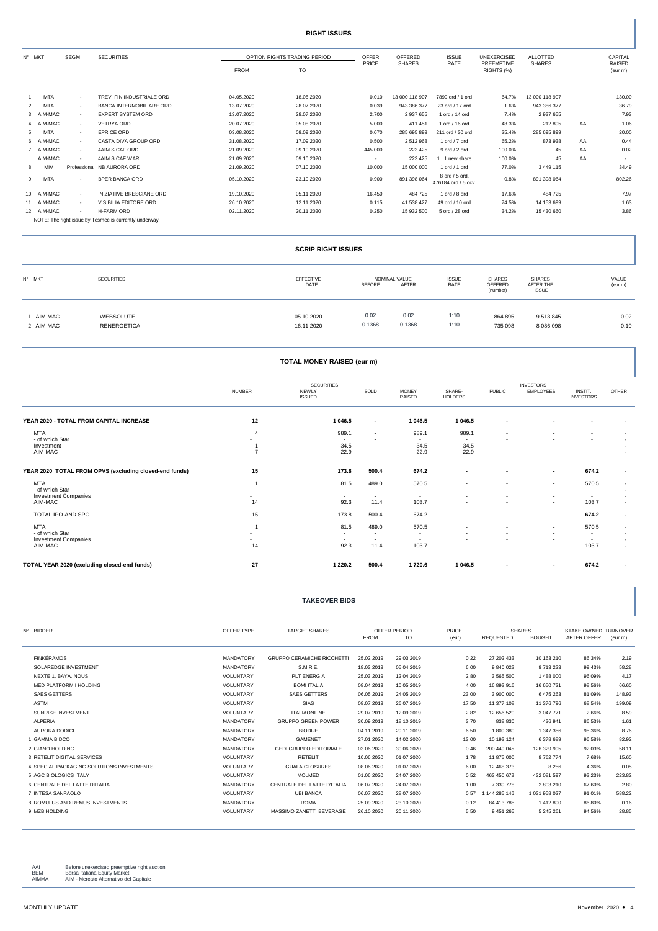|                | <b>RIGHT ISSUES</b> |        |                                                        |             |                              |                          |                |                                      |                          |                 |     |                          |
|----------------|---------------------|--------|--------------------------------------------------------|-------------|------------------------------|--------------------------|----------------|--------------------------------------|--------------------------|-----------------|-----|--------------------------|
|                | N° MKT              | SEGM   | <b>SECURITIES</b>                                      |             | OPTION RIGHTS TRADING PERIOD | <b>OFFER</b>             | OFFERED        | <b>ISSUE</b>                         | <b>UNEXERCISED</b>       | <b>ALLOTTED</b> |     | CAPITAL                  |
|                |                     |        |                                                        | <b>FROM</b> | TO                           | PRICE                    | <b>SHARES</b>  | RATE                                 | PREEMPTIVE<br>RIGHTS (%) | <b>SHARES</b>   |     | <b>RAISED</b><br>(eur m) |
|                |                     |        |                                                        |             |                              |                          |                |                                      |                          |                 |     |                          |
| -1             | <b>MTA</b>          | $\sim$ | TREVI FIN INDUSTRIALE ORD                              | 04.05.2020  | 18.05.2020                   | 0.010                    | 13 000 118 907 | 7899 ord / 1 ord                     | 64.7%                    | 13 000 118 907  |     | 130.00                   |
| $\overline{2}$ | <b>MTA</b>          | $\sim$ | <b>BANCA INTERMOBILIARE ORD</b>                        | 13.07.2020  | 28.07.2020                   | 0.039                    | 943 386 377    | 23 ord / 17 ord                      | 1.6%                     | 943 386 377     |     | 36.79                    |
|                | 3 AIM-MAC           | $\sim$ | <b>EXPERT SYSTEM ORD</b>                               | 13.07.2020  | 28.07.2020                   | 2.700                    | 2 937 655      | 1 ord / 14 ord                       | 7.4%                     | 2 937 655       |     | 7.93                     |
|                | 4 AIM-MAC           | $\sim$ | <b>VETRYA ORD</b>                                      | 20.07.2020  | 05.08.2020                   | 5.000                    | 411 451        | 1 ord / 16 ord                       | 48.3%                    | 212 895         | AAI | 1.06                     |
| 5              | MTA                 | $\sim$ | <b>EPRICE ORD</b>                                      | 03.08.2020  | 09.09.2020                   | 0.070                    | 285 695 899    | 211 ord / 30 ord                     | 25.4%                    | 285 695 899     |     | 20.00                    |
|                | 6 AIM-MAC           | $\sim$ | CASTA DIVA GROUP ORD                                   | 31.08.2020  | 17.09.2020                   | 0.500                    | 2512968        | 1 ord / 7 ord                        | 65.2%                    | 873 938         | AAI | 0.44                     |
|                | 7 AIM-MAC           | $\sim$ | 4AIM SICAF ORD                                         | 21.09.2020  | 09.10.2020                   | 445.000                  | 223 425        | 9 ord / 2 ord                        | 100.0%                   | 45              | AAI | 0.02                     |
|                | AIM-MAC             | $\sim$ | 4AIM SICAF WAR                                         | 21.09.2020  | 09.10.2020                   | $\overline{\phantom{a}}$ | 223 425        | 1:1 new share                        | 100.0%                   | 45              | AAI |                          |
| 8              | MIV                 |        | Professional NB AURORA ORD                             | 21.09.2020  | 07.10.2020                   | 10.000                   | 15 000 000     | 1 ord / 1 ord                        | 77.0%                    | 3 4 4 9 1 1 5   |     | 34.49                    |
| 9              | <b>MTA</b>          | $\sim$ | <b>BPER BANCA ORD</b>                                  | 05.10.2020  | 23.10.2020                   | 0.900                    | 891 398 064    | 8 ord / 5 ord.<br>476184 ord / 5 ocv | 0.8%                     | 891 398 064     |     | 802.26                   |
|                | 10 AIM-MAC          | $\sim$ | INIZIATIVE BRESCIANE ORD                               | 19.10.2020  | 05.11.2020                   | 16.450                   | 484 725        | 1 ord / 8 ord                        | 17.6%                    | 484 725         |     | 7.97                     |
|                | 11 AIM-MAC          | $\sim$ | VISIBILIA EDITORE ORD                                  | 26.10.2020  | 12.11.2020                   | 0.115                    | 41 538 427     | 49 ord / 10 ord                      | 74.5%                    | 14 153 699      |     | 1.63                     |
|                | 12 AIM-MAC          | $\sim$ | <b>H-FARM ORD</b>                                      | 02.11.2020  | 20.11.2020                   | 0.250                    | 15 932 500     | 5 ord / 28 ord                       | 34.2%                    | 15 430 660      |     | 3.86                     |
|                |                     |        | NOTE: The right issue by Tesmec is currently underway. |             |                              |                          |                |                                      |                          |                 |     |                          |

|                        |                          | <b>SCRIP RIGHT ISSUES</b> |                                  |                      |                                      |                                     |                  |
|------------------------|--------------------------|---------------------------|----------------------------------|----------------------|--------------------------------------|-------------------------------------|------------------|
| N° MKT                 | <b>SECURITIES</b>        | EFFECTIVE<br>DATE         | NOMINAL VALUE<br>AFTER<br>BEFORE | <b>ISSUE</b><br>RATE | <b>SHARES</b><br>OFFERED<br>(number) | SHARES<br>AFTER THE<br><b>ISSUE</b> | VALUE<br>(eur m) |
| 1 AIM-MAC<br>2 AIM-MAC | WEBSOLUTE<br>RENERGETICA | 05.10.2020<br>16.11.2020  | 0.02<br>0.02<br>0.1368<br>0.1368 | 1:10<br>1:10         | 864 895<br>735 098                   | 9513845<br>8 0 8 6 0 9 8            | 0.02<br>0.10     |

| TOTAL MONEY RAISED (eur m)                             |                          |                          |                          |                          |                          |               |                          |                             |                          |
|--------------------------------------------------------|--------------------------|--------------------------|--------------------------|--------------------------|--------------------------|---------------|--------------------------|-----------------------------|--------------------------|
|                                                        | <b>SECURITIES</b>        |                          |                          | <b>INVESTORS</b>         |                          |               |                          |                             |                          |
|                                                        | <b>NUMBER</b>            | NEWLY<br><b>ISSUED</b>   | SOLD                     | <b>MONEY</b><br>RAISED   | SHARE-<br><b>HOLDERS</b> | <b>PUBLIC</b> | <b>EMPLOYEES</b>         | INSTIT.<br><b>INVESTORS</b> | <b>OTHER</b>             |
| YEAR 2020 - TOTAL FROM CAPITAL INCREASE                | 12                       | 1 046.5                  | $\blacksquare$           | 1 0 4 6 .5               | 1 046.5                  |               |                          |                             |                          |
| <b>MTA</b>                                             | $\overline{4}$           | 989.1                    | $\sim$                   | 989.1                    | 989.1                    |               |                          |                             |                          |
| - of which Star                                        |                          | $\overline{\phantom{a}}$ | $\overline{\phantom{a}}$ | $\overline{\phantom{a}}$ | $\sim$                   |               |                          |                             | $\overline{\phantom{a}}$ |
| Investment                                             | 1                        | 34.5                     | $\sim$                   | 34.5                     | 34.5                     |               |                          |                             | $\overline{\phantom{a}}$ |
| AIM-MAC                                                | $\overline{7}$           | 22.9                     | $\overline{\phantom{a}}$ | 22.9                     | 22.9                     |               |                          |                             | ٠                        |
| YEAR 2020 TOTAL FROM OPVS (excluding closed-end funds) | 15                       | 173.8                    | 500.4                    | 674.2                    | $\blacksquare$           |               | $\overline{\phantom{a}}$ | 674.2                       | $\overline{\phantom{a}}$ |
| <b>MTA</b>                                             | $\overline{1}$           | 81.5                     | 489.0                    | 570.5                    | $\overline{\phantom{a}}$ |               | ٠                        | 570.5                       | $\overline{\phantom{a}}$ |
| - of which Star                                        | $\overline{\phantom{0}}$ | $\overline{\phantom{a}}$ | $\sim$                   | $\overline{\phantom{a}}$ |                          |               | $\overline{\phantom{a}}$ | $\overline{\phantom{a}}$    |                          |
| <b>Investment Companies</b>                            | $\overline{\phantom{0}}$ | $\overline{\phantom{a}}$ | $\sim$                   | ٠                        |                          |               | ٠                        | $\sim$                      |                          |
| AIM-MAC                                                | 14                       | 92.3                     | 11.4                     | 103.7                    |                          |               | ۰.                       | 103.7                       | $\overline{\phantom{a}}$ |
| TOTAL IPO AND SPO                                      | 15                       | 173.8                    | 500.4                    | 674.2                    | $\overline{\phantom{a}}$ |               | $\sim$                   | 674.2                       | $\overline{\phantom{a}}$ |
| <b>MTA</b>                                             | $\overline{1}$           | 81.5                     | 489.0                    | 570.5                    |                          |               | $\overline{\phantom{a}}$ | 570.5                       | $\overline{\phantom{a}}$ |
| - of which Star                                        | $\overline{\phantom{0}}$ |                          | $\sim$                   | $\overline{\phantom{a}}$ |                          |               | $\overline{\phantom{a}}$ | $\sim$                      |                          |
| <b>Investment Companies</b>                            | $\overline{\phantom{a}}$ | $\overline{\phantom{a}}$ | $\sim$                   | $\overline{\phantom{a}}$ |                          |               | $\overline{\phantom{a}}$ | $\sim$                      |                          |
| AIM-MAC                                                | 14                       | 92.3                     | 11.4                     | 103.7                    | $\overline{\phantom{a}}$ |               | $\overline{\phantom{a}}$ | 103.7                       | $\overline{\phantom{a}}$ |
| TOTAL YEAR 2020 (excluding closed-end funds)           | 27                       | 1 2 2 0 . 2              | 500.4                    | 1720.6                   | 1 046.5                  |               | $\overline{\phantom{a}}$ | 674.2                       | $\sim$                   |

| <b>TAKEOVER BIDS</b> |  |
|----------------------|--|
|----------------------|--|

| Nº BIDDER                                 | OFFER TYPE       | <b>TARGET SHARES</b>              | OFFER PERIOD |            | PRICE | <b>SHARES</b> |               | STAKE OWNED TURNOVER |         |
|-------------------------------------------|------------------|-----------------------------------|--------------|------------|-------|---------------|---------------|----------------------|---------|
|                                           |                  |                                   | <b>FROM</b>  | <b>TO</b>  | (eur) | REQUESTED     | <b>BOUGHT</b> | AFTER OFFER          | (eur m) |
| <b>FINKÉRAMOS</b>                         | <b>MANDATORY</b> | <b>GRUPPO CERAMICHE RICCHETTI</b> | 25.02.2019   | 29.03.2019 | 0.22  | 27 202 433    | 10 163 210    | 86.34%               | 2.19    |
| SOLAREDGE INVESTMENT                      | <b>MANDATORY</b> | S.M.R.E.                          | 18.03.2019   | 05.04.2019 | 6.00  | 9 840 023     | 9 713 223     | 99.43%               | 58.28   |
| NEXTE 1, BAYA, NOUS                       | VOLUNTARY        | <b>PLT ENERGIA</b>                | 25.03.2019   | 12.04.2019 | 2.80  | 3 565 500     | 1488000       | 96.09%               | 4.17    |
| MED PLATFORM I HOLDING                    | VOLUNTARY        | <b>BOMI ITALIA</b>                | 08.04.2019   | 10.05.2019 | 4.00  | 16 893 916    | 16 650 721    | 98.56%               | 66.60   |
| <b>SAES GETTERS</b>                       | VOLUNTARY        | <b>SAES GETTERS</b>               | 06.05.2019   | 24.05.2019 | 23.00 | 3 900 000     | 6 475 263     | 81.09%               | 148.93  |
|                                           |                  | <b>SIAS</b>                       |              |            |       |               |               |                      |         |
| <b>ASTM</b>                               | VOLUNTARY        |                                   | 08.07.2019   | 26.07.2019 | 17.50 | 11 377 108    | 11 376 796    | 68.54%               | 199.09  |
| SUNRISE INVESTMENT                        | VOLUNTARY        | <b>ITALIAONLINE</b>               | 29.07.2019   | 12.09.2019 | 2.82  | 12 656 520    | 3 047 771     | 2.66%                | 8.59    |
| <b>ALPERIA</b>                            | <b>MANDATORY</b> | <b>GRUPPO GREEN POWER</b>         | 30.09.2019   | 18.10.2019 | 3.70  | 838 830       | 436 941       | 86.53%               | 1.61    |
| <b>AURORA DODICI</b>                      | <b>MANDATORY</b> | <b>BIODUE</b>                     | 04.11.2019   | 29.11.2019 | 6.50  | 1809380       | 1 347 356     | 95.36%               | 8.76    |
| 1 GAMMA BIDCO                             | <b>MANDATORY</b> | <b>GAMENET</b>                    | 27.01.2020   | 14.02.2020 | 13.00 | 10 193 124    | 6 378 689     | 96.58%               | 82.92   |
| 2 GIANO HOLDING                           | <b>MANDATORY</b> | GEDI GRUPPO EDITORIALE            | 03.06.2020   | 30.06.2020 | 0.46  | 200 449 045   | 126 329 995   | 92.03%               | 58.11   |
| 3 RETELIT DIGITAL SERVICES                | VOLUNTARY        | <b>RETELIT</b>                    | 10.06.2020   | 01.07.2020 | 1.78  | 11 875 000    | 8762774       | 7.68%                | 15.60   |
| 4 SPECIAL PACKAGING SOLUTIONS INVESTMENTS | VOLUNTARY        | <b>GUALA CLOSURES</b>             | 08.06.2020   | 01.07.2020 | 6.00  | 12 468 373    | 8 2 5 6       | 4.36%                | 0.05    |
| 5 AGC BIOLOGICS ITALY                     | VOLUNTARY        | <b>MOLMED</b>                     | 01.06.2020   | 24.07.2020 | 0.52  | 463 450 672   | 432 081 597   | 93.23%               | 223.82  |
| 6 CENTRALE DEL LATTE D'ITALIA             | <b>MANDATORY</b> | CENTRALE DEL LATTE D'ITALIA       | 06.07.2020   | 24.07.2020 | 1.00  | 7 339 778     | 2 803 210     | 67.60%               | 2.80    |
| 7 INTESA SANPAOLO                         | VOLUNTARY        | <b>UBI BANCA</b>                  | 06.07.2020   | 28.07.2020 | 0.57  | 1 144 285 146 | 1 031 958 027 | 91.01%               | 588.22  |
| 8 ROMULUS AND REMUS INVESTMENTS.          | <b>MANDATORY</b> | <b>ROMA</b>                       | 25.09.2020   | 23.10.2020 | 0.12  | 84 413 785    | 1412890       | 86.80%               | 0.16    |
| 9 MZB HOLDING                             | VOLUNTARY        | MASSIMO ZANETTI BEVERAGE          | 26.10.2020   | 20.11.2020 | 5.50  | 9 451 265     | 5 245 261     | 94.56%               | 28.85   |
|                                           |                  |                                   |              |            |       |               |               |                      |         |

AAI Before unexercised preemptive right auction<br>BEM Borsa Italiana Equity Market<br>AIMMA AIM - Mercato Alternativo del Capitale

1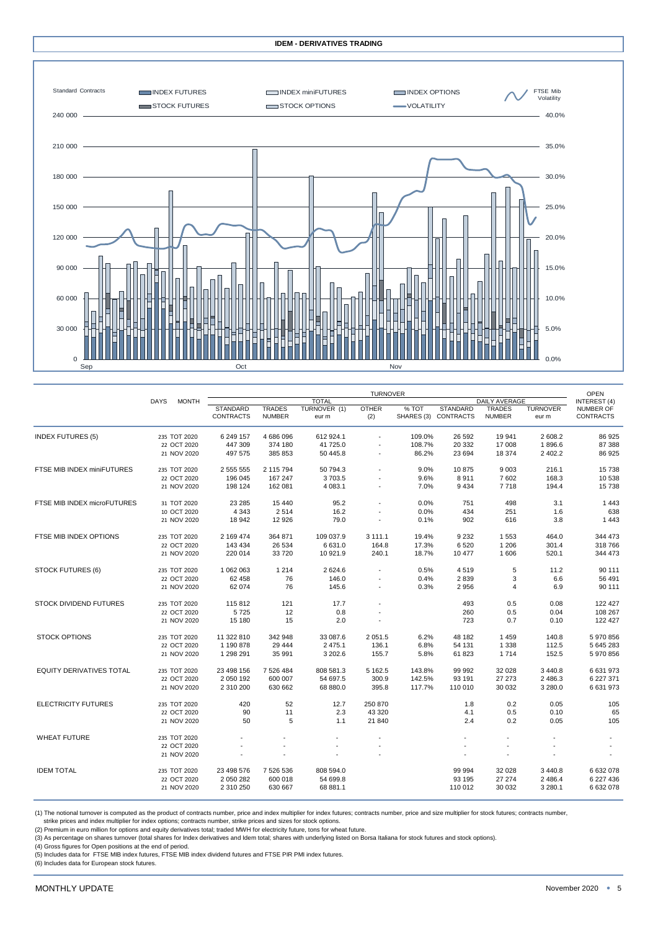

|                                 |                             | <b>TURNOVER</b> |                  |               |                       |                          |        |                      | <b>OPEN</b>                    |                          |                                      |
|---------------------------------|-----------------------------|-----------------|------------------|---------------|-----------------------|--------------------------|--------|----------------------|--------------------------------|--------------------------|--------------------------------------|
|                                 | <b>MONTH</b><br><b>DAYS</b> |                 |                  |               | <b>TOTAL</b>          |                          |        | <b>DAILY AVERAGE</b> |                                |                          | <b>INTEREST (4)</b>                  |
|                                 |                             |                 | <b>STANDARD</b>  | <b>TRADES</b> | TURNOVER (1)<br>eur m | <b>OTHER</b>             | % TOT  | <b>STANDARD</b>      | <b>TRADES</b><br><b>NUMBER</b> | <b>TURNOVER</b><br>eur m | <b>NUMBER OF</b><br><b>CONTRACTS</b> |
|                                 |                             |                 | <b>CONTRACTS</b> | <b>NUMBER</b> |                       | (2)                      |        | SHARES (3) CONTRACTS |                                |                          |                                      |
| <b>INDEX FUTURES (5)</b>        |                             | 235 TOT 2020    | 6 249 157        | 4 686 096     | 612 924.1             |                          | 109.0% | 26 592               | 19 941                         | 2 608.2                  | 86 925                               |
|                                 |                             | 22 OCT 2020     | 447 309          | 374 180       | 41 725.0              |                          | 108.7% | 20 332               | 17 008                         | 1896.6                   | 87 388                               |
|                                 |                             | 21 NOV 2020     | 497 575          | 385 853       | 50 445.8              |                          | 86.2%  | 23 694               | 18 374                         | 2 402.2                  | 86 925                               |
| FTSE MIB INDEX miniFUTURES      |                             | 235 TOT 2020    | 2 555 555        | 2 115 794     | 50 794.3              |                          | 9.0%   | 10875                | 9 0 0 3                        | 216.1                    | 15738                                |
|                                 |                             | 22 OCT 2020     | 196 045          | 167 247       | 3703.5                |                          | 9.6%   | 8911                 | 7602                           | 168.3                    | 10 538                               |
|                                 |                             | 21 NOV 2020     | 198 124          | 162 081       | 4 083.1               |                          | 7.0%   | 9434                 | 7718                           | 194.4                    | 15 738                               |
| FTSE MIB INDEX microFUTURES     |                             | 31 TOT 2020     | 23 285           | 15 4 40       | 95.2                  |                          | 0.0%   | 751                  | 498                            | 3.1                      | 1443                                 |
|                                 |                             | 10 OCT 2020     | 4 3 4 3          | 2514          | 16.2                  |                          | 0.0%   | 434                  | 251                            | 1.6                      | 638                                  |
|                                 |                             | 21 NOV 2020     | 18 942           | 12 9 26       | 79.0                  |                          | 0.1%   | 902                  | 616                            | 3.8                      | 1 4 4 3                              |
| FTSE MIB INDEX OPTIONS          |                             | 235 TOT 2020    | 2 169 474        | 364 871       | 109 037.9             | 3 111.1                  | 19.4%  | 9 2 3 2              | 1553                           | 464.0                    | 344 473                              |
|                                 |                             | 22 OCT 2020     | 143 434          | 26 534        | 6 631.0               | 164.8                    | 17.3%  | 6520                 | 1 2 0 6                        | 301.4                    | 318 766                              |
|                                 |                             | 21 NOV 2020     | 220 014          | 33720         | 10 921.9              | 240.1                    | 18.7%  | 10 477               | 1606                           | 520.1                    | 344 473                              |
| <b>STOCK FUTURES (6)</b>        |                             | 235 TOT 2020    | 1 062 063        | 1 2 1 4       | 2624.6                |                          | 0.5%   | 4519                 | 5                              | 11.2                     | 90 111                               |
|                                 |                             | 22 OCT 2020     | 62 458           | 76            | 146.0                 |                          | 0.4%   | 2839                 | 3                              | 6.6                      | 56 491                               |
|                                 |                             | 21 NOV 2020     | 62 074           | 76            | 145.6                 | $\overline{\phantom{a}}$ | 0.3%   | 2956                 | $\overline{4}$                 | 6.9                      | 90 111                               |
| <b>STOCK DIVIDEND FUTURES</b>   |                             | 235 TOT 2020    | 115 812          | 121           | 17.7                  |                          |        | 493                  | 0.5                            | 0.08                     | 122 427                              |
|                                 |                             | 22 OCT 2020     | 5725             | 12            | 0.8                   |                          |        | 260                  | 0.5                            | 0.04                     | 108 267                              |
|                                 |                             | 21 NOV 2020     | 15 180           | 15            | 2.0                   | $\sim$                   |        | 723                  | 0.7                            | 0.10                     | 122 427                              |
| <b>STOCK OPTIONS</b>            |                             | 235 TOT 2020    | 11 322 810       | 342 948       | 33 087.6              | 2 0 5 1 . 5              | 6.2%   | 48 182               | 1459                           | 140.8                    | 5970856                              |
|                                 |                             | 22 OCT 2020     | 1 190 878        | 29 4 44       | 2 4 7 5.1             | 136.1                    | 6.8%   | 54 131               | 1 3 3 8                        | 112.5                    | 5 645 283                            |
|                                 |                             | 21 NOV 2020     | 1 298 291        | 35 991        | 3 202.6               | 155.7                    | 5.8%   | 61823                | 1714                           | 152.5                    | 5970856                              |
| <b>EQUITY DERIVATIVES TOTAL</b> |                             | 235 TOT 2020    | 23 498 156       | 7 526 484     | 808 581.3             | 5 162.5                  | 143.8% | 99 992               | 32 0 28                        | 3 4 4 0.8                | 6 631 973                            |
|                                 |                             | 22 OCT 2020     | 2 050 192        | 600 007       | 54 697.5              | 300.9                    | 142.5% | 93 191               | 27 27 3                        | 2 486.3                  | 6 227 371                            |
|                                 |                             | 21 NOV 2020     | 2 310 200        | 630 662       | 68 880.0              | 395.8                    | 117.7% | 110 010              | 30 032                         | 3 280.0                  | 6631973                              |
| <b>ELECTRICITY FUTURES</b>      |                             | 235 TOT 2020    | 420              | 52            | 12.7                  | 250 870                  |        | 1.8                  | 0.2                            | 0.05                     | 105                                  |
|                                 |                             | 22 OCT 2020     | 90               | 11            | 2.3                   | 43 320                   |        | 4.1                  | 0.5                            | 0.10                     | 65                                   |
|                                 |                             | 21 NOV 2020     | 50               | 5             | 1.1                   | 21 840                   |        | 2.4                  | 0.2                            | 0.05                     | 105                                  |
| <b>WHEAT FUTURE</b>             |                             | 235 TOT 2020    |                  |               |                       |                          |        |                      |                                |                          |                                      |
|                                 |                             | 22 OCT 2020     |                  |               |                       |                          |        | $\sim$               |                                |                          | $\blacksquare$                       |
|                                 |                             | 21 NOV 2020     |                  |               |                       |                          |        |                      |                                |                          |                                      |
| <b>IDEM TOTAL</b>               |                             | 235 TOT 2020    | 23 498 576       | 7 526 536     | 808 594.0             |                          |        | 99 994               | 32 0 28                        | 3 4 4 0.8                | 6632078                              |
|                                 |                             | 22 OCT 2020     | 2 050 282        | 600 018       | 54 699.8              |                          |        | 93 195               | 27 274                         | 2 4 8 6.4                | 6 227 436                            |
|                                 |                             | 21 NOV 2020     | 2 310 250        | 630 667       | 68 881.1              |                          |        | 110 012              | 30 032                         | 3 280.1                  | 6 632 078                            |
|                                 |                             |                 |                  |               |                       |                          |        |                      |                                |                          |                                      |

(1) The notional turnover is computed as the product of contracts number, price and index multiplier for index futures; contracts number, price and size multiplier for stock futures; contracts number,

strike prices and index multiplier for index options; contracts number, strike prices and sizes for stock options.<br>(2) Premium in euro million for options and equity derivatives total; traded MWH for electricity future, to

(3) As percentage on shares turnover (total shares for Index derivatives and Idem total; shares with underlying listed on Borsa Italiana for stock futures and stock options).

(4) Gross figures for Open positions at the end of period. (5) Includes data for FTSE MIB index futures, FTSE MIB index dividend futures and FTSE PIR PMI index futures.

(6) Includes data for European stock futures.